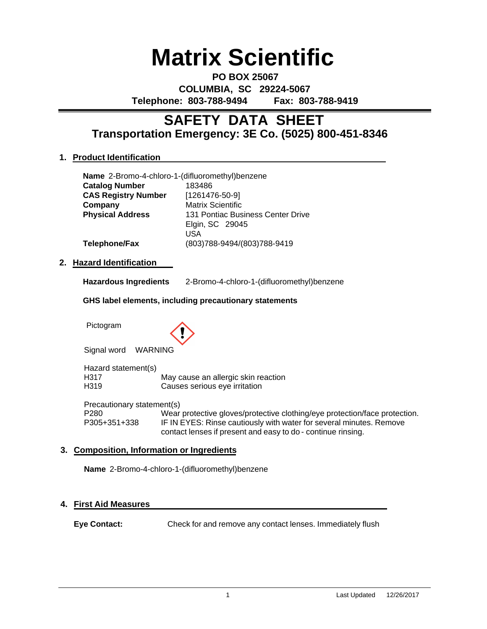# **Matrix Scientific**

**PO BOX 25067 COLUMBIA, SC 29224-5067 Telephone: 803-788-9494 Fax: 803-788-9419**

## **Transportation Emergency: 3E Co. (5025) 800-451-8346 SAFETY DATA SHEET**

## **1. Product Identification**

| Name 2-Bromo-4-chloro-1-(difluoromethyl)benzene |                                   |
|-------------------------------------------------|-----------------------------------|
| <b>Catalog Number</b>                           | 183486                            |
| <b>CAS Registry Number</b>                      | $[1261476-50-9]$                  |
| Company                                         | <b>Matrix Scientific</b>          |
| <b>Physical Address</b>                         | 131 Pontiac Business Center Drive |
|                                                 | Elgin, SC 29045                   |
|                                                 | USA                               |
| <b>Telephone/Fax</b>                            | (803)788-9494/(803)788-9419       |

## **2. Hazard Identification**

| <b>Hazardous Ingredients</b> | 2-Bromo-4-chloro-1-(difluoromethyl)benzene |
|------------------------------|--------------------------------------------|
|------------------------------|--------------------------------------------|

## **GHS label elements, including precautionary statements**

Pictogram



Signal word WARNING

Hazard statement(s) H317 May cause an allergic skin reaction H319 Causes serious eye irritation

Precautionary statement(s) P280 Wear protective gloves/protective clothing/eye protection/face protection. P305+351+338 IF IN EYES: Rinse cautiously with water for several minutes. Remove contact lenses if present and easy to do - continue rinsing.

## **3. Composition, Information or Ingredients**

**Name** 2-Bromo-4-chloro-1-(difluoromethyl)benzene

## **4. First Aid Measures**

**Eye Contact:** Check for and remove any contact lenses. Immediately flush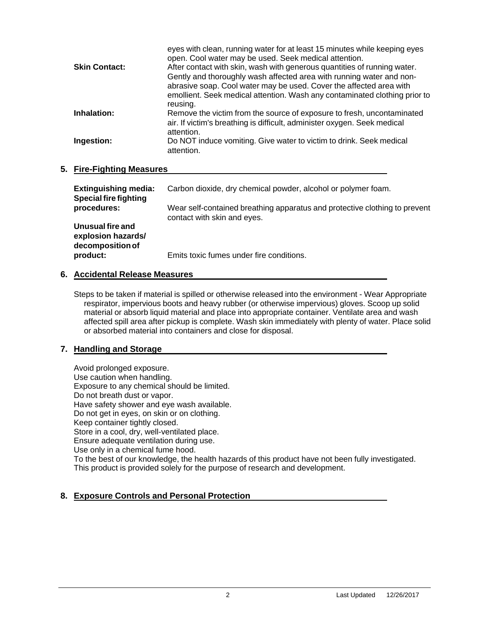|                      | eyes with clean, running water for at least 15 minutes while keeping eyes<br>open. Cool water may be used. Seek medical attention. |
|----------------------|------------------------------------------------------------------------------------------------------------------------------------|
| <b>Skin Contact:</b> | After contact with skin, wash with generous quantities of running water.                                                           |
|                      | Gently and thoroughly wash affected area with running water and non-                                                               |
|                      | abrasive soap. Cool water may be used. Cover the affected area with                                                                |
|                      | emollient. Seek medical attention. Wash any contaminated clothing prior to                                                         |
|                      | reusing.                                                                                                                           |
| Inhalation:          | Remove the victim from the source of exposure to fresh, uncontaminated                                                             |
|                      | air. If victim's breathing is difficult, administer oxygen. Seek medical                                                           |
|                      | attention.                                                                                                                         |
| Ingestion:           | Do NOT induce vomiting. Give water to victim to drink. Seek medical                                                                |
|                      | attention.                                                                                                                         |
|                      |                                                                                                                                    |

## **5. Fire-Fighting Measures**

| <b>Extinguishing media:</b><br><b>Special fire fighting</b> | Carbon dioxide, dry chemical powder, alcohol or polymer foam.                                             |
|-------------------------------------------------------------|-----------------------------------------------------------------------------------------------------------|
| procedures:                                                 | Wear self-contained breathing apparatus and protective clothing to prevent<br>contact with skin and eyes. |
| Unusual fire and<br>explosion hazards/<br>decomposition of  |                                                                                                           |
| product:                                                    | Emits toxic fumes under fire conditions.                                                                  |

## **6. Accidental Release Measures**

Steps to be taken if material is spilled or otherwise released into the environment - Wear Appropriate respirator, impervious boots and heavy rubber (or otherwise impervious) gloves. Scoop up solid material or absorb liquid material and place into appropriate container. Ventilate area and wash affected spill area after pickup is complete. Wash skin immediately with plenty of water. Place solid or absorbed material into containers and close for disposal.

## **7. Handling and Storage**

Avoid prolonged exposure. Use caution when handling. Exposure to any chemical should be limited. Do not breath dust or vapor. Have safety shower and eye wash available. Do not get in eyes, on skin or on clothing. Keep container tightly closed. Store in a cool, dry, well-ventilated place. Ensure adequate ventilation during use. Use only in a chemical fume hood. To the best of our knowledge, the health hazards of this product have not been fully investigated. This product is provided solely for the purpose of research and development.

## **8. Exposure Controls and Personal Protection**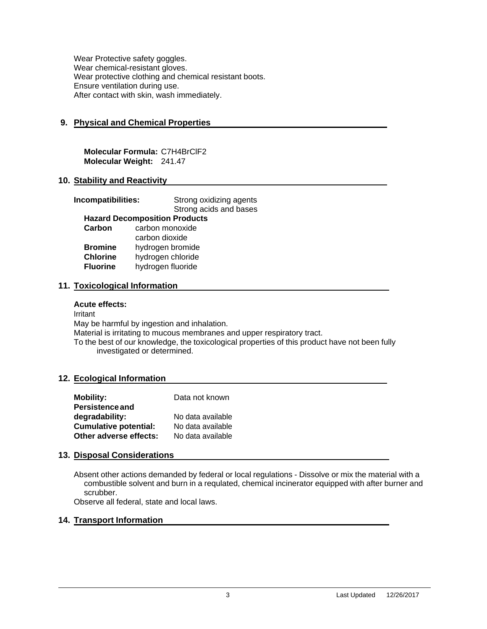Wear Protective safety goggles. Wear chemical-resistant gloves. Wear protective clothing and chemical resistant boots. Ensure ventilation during use. After contact with skin, wash immediately.

## **9. Physical and Chemical Properties**

**Molecular Formula:** C7H4BrClF2 **Molecular Weight:** 241.47

## **10. Stability and Reactivity**

| Incompatibilities:                   |                   | Strong oxidizing agents |
|--------------------------------------|-------------------|-------------------------|
|                                      |                   | Strong acids and bases  |
| <b>Hazard Decomposition Products</b> |                   |                         |
| Carbon                               | carbon monoxide   |                         |
|                                      | carbon dioxide    |                         |
| <b>Bromine</b>                       | hydrogen bromide  |                         |
| <b>Chlorine</b>                      | hydrogen chloride |                         |
| <b>Fluorine</b>                      | hydrogen fluoride |                         |
|                                      |                   |                         |

## **11. Toxicological Information**

#### **Acute effects:**

Irritant May be harmful by ingestion and inhalation. Material is irritating to mucous membranes and upper respiratory tract. To the best of our knowledge, the toxicological properties of this product have not been fully investigated or determined.

## **12. Ecological Information**

| <b>Mobility:</b>             | Data not known    |
|------------------------------|-------------------|
| <b>Persistence and</b>       |                   |
| degradability:               | No data available |
| <b>Cumulative potential:</b> | No data available |
| Other adverse effects:       | No data available |

## **13. Disposal Considerations**

Absent other actions demanded by federal or local regulations - Dissolve or mix the material with a combustible solvent and burn in a requlated, chemical incinerator equipped with after burner and scrubber.

Observe all federal, state and local laws.

## **14. Transport Information**